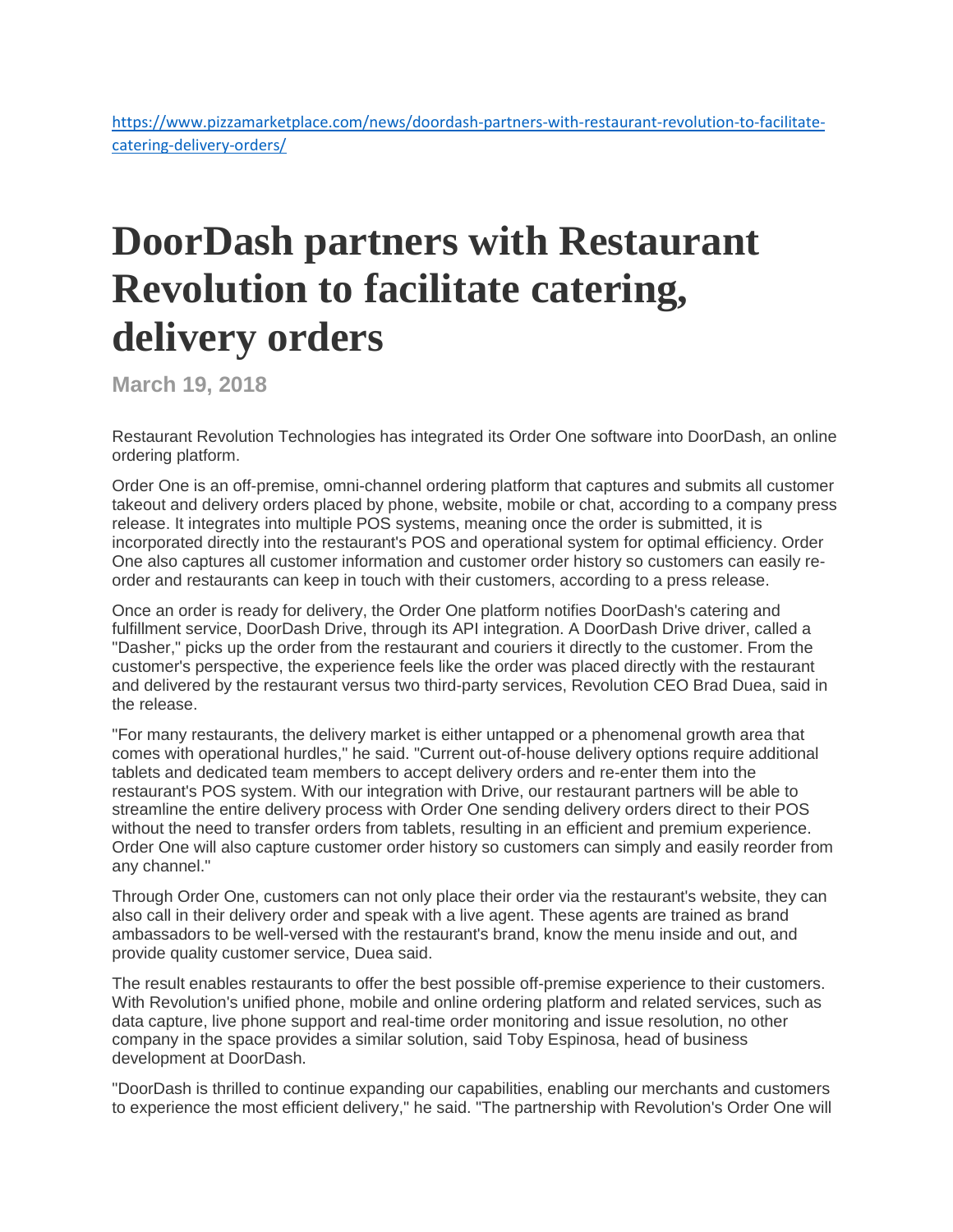[https://www.pizzamarketplace.com/news/doordash-partners-with-restaurant-revolution-to-facilitate](https://www.pizzamarketplace.com/news/doordash-partners-with-restaurant-revolution-to-facilitate-catering-delivery-orders/)[catering-delivery-orders/](https://www.pizzamarketplace.com/news/doordash-partners-with-restaurant-revolution-to-facilitate-catering-delivery-orders/)

## **DoorDash partners with Restaurant Revolution to facilitate catering, delivery orders**

**March 19, 2018**

Restaurant Revolution Technologies has integrated its Order One software into DoorDash, an online ordering platform.

Order One is an off-premise, omni-channel ordering platform that captures and submits all customer takeout and delivery orders placed by phone, website, mobile or chat, according to a company press release. It integrates into multiple POS systems, meaning once the order is submitted, it is incorporated directly into the restaurant's POS and operational system for optimal efficiency. Order One also captures all customer information and customer order history so customers can easily reorder and restaurants can keep in touch with their customers, according to a press release.

Once an order is ready for delivery, the Order One platform notifies DoorDash's catering and fulfillment service, DoorDash Drive, through its API integration. A DoorDash Drive driver, called a "Dasher," picks up the order from the restaurant and couriers it directly to the customer. From the customer's perspective, the experience feels like the order was placed directly with the restaurant and delivered by the restaurant versus two third-party services, Revolution CEO Brad Duea, said in the release.

"For many restaurants, the delivery market is either untapped or a phenomenal growth area that comes with operational hurdles," he said. "Current out-of-house delivery options require additional tablets and dedicated team members to accept delivery orders and re-enter them into the restaurant's POS system. With our integration with Drive, our restaurant partners will be able to streamline the entire delivery process with Order One sending delivery orders direct to their POS without the need to transfer orders from tablets, resulting in an efficient and premium experience. Order One will also capture customer order history so customers can simply and easily reorder from any channel."

Through Order One, customers can not only place their order via the restaurant's website, they can also call in their delivery order and speak with a live agent. These agents are trained as brand ambassadors to be well-versed with the restaurant's brand, know the menu inside and out, and provide quality customer service, Duea said.

The result enables restaurants to offer the best possible off-premise experience to their customers. With Revolution's unified phone, mobile and online ordering platform and related services, such as data capture, live phone support and real-time order monitoring and issue resolution, no other company in the space provides a similar solution, said Toby Espinosa, head of business development at DoorDash.

"DoorDash is thrilled to continue expanding our capabilities, enabling our merchants and customers to experience the most efficient delivery," he said. "The partnership with Revolution's Order One will